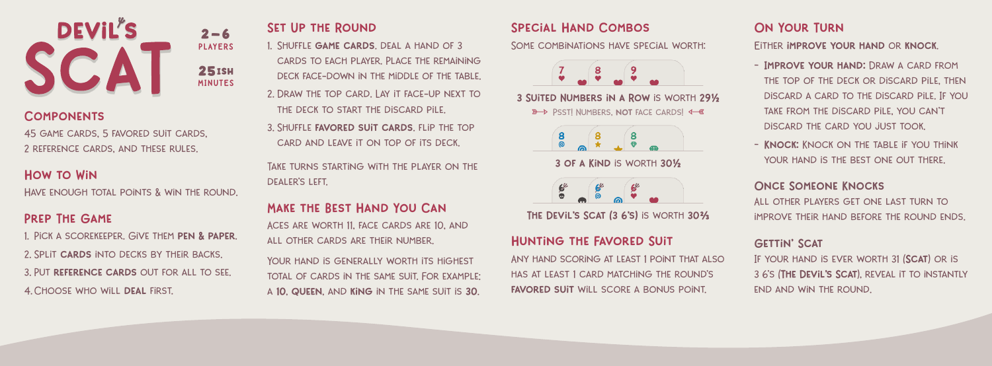

### **COMPONENTS**

45 game cards, 5 favored suit cards, 2 reference cards, and these rules.

## How to Win

Have enough total points & win the round.

## Prep The Game

1. PICK A SCOREKEEPER. GIVE THEM PEN & PAPER. 2. Split cards into decks by their backs. 3. Put reference cards out for all to see. 4. CHOOSE WHO WILL DEAL FIRST.

# Set Up the Round

1. Shuffle game cards. deal a hand of 3 cards to each player. Place the remaining deck face-down in the middle of the table.

- 2. Draw the top card. Lay it face-up next to the deck to start the discard pile.
- 3. Shuffle favored suit cards. flip the top card and leave it on top of its deck.

Take turns starting with the player on the dealer's left.

## Make the Best Hand You Can

Aces are worth 11, face cards are 10, and all other cards are their number.

YOUR HAND IS GENERALLY WORTH ITS HIGHEST total of cards in the same suit. For example: a 10, queen, and king in the same suit is 30.

## Special Hand Combos

SOME COMBINATIONS HAVE SPECIAL WORTH:



3 Suited Numbers in a Row is worth 29½ > PSST! NUMBERS, NOT FACE CARDS! <= @



3 of a Kind is worth 30½



THE DEVIL'S SCAT (3 6'S) IS WORTH 30%

### Hunting the Favored Suit

Any hand scoring at least 1 point that also has at least 1 card matching the round's FAVORED SUIT WILL SCORE A BONUS POINT.

# On Your Turn

Either improve your hand or knock.

- Improve your hand: Draw a card from THE TOP OF THE DECK OR DISCARD PILE, THEN discard a card to the discard pile. If you take from the discard pile, you can't discard the card you just took.
- KNOCK: KNOCK ON THE TABLE IF YOU THINK YOUR HAND IS THE REST ONE OUT THERE.

### Once Someone Knocks

All other players get one last turn to improve their hand before the round ends.

#### **GETTIN' SCAT**

IF YOUR HAND IS EVER WORTH 31 (SCAT) OR IS 3 6's (The Devil's Scat), reveal it to instantly end and win the round.